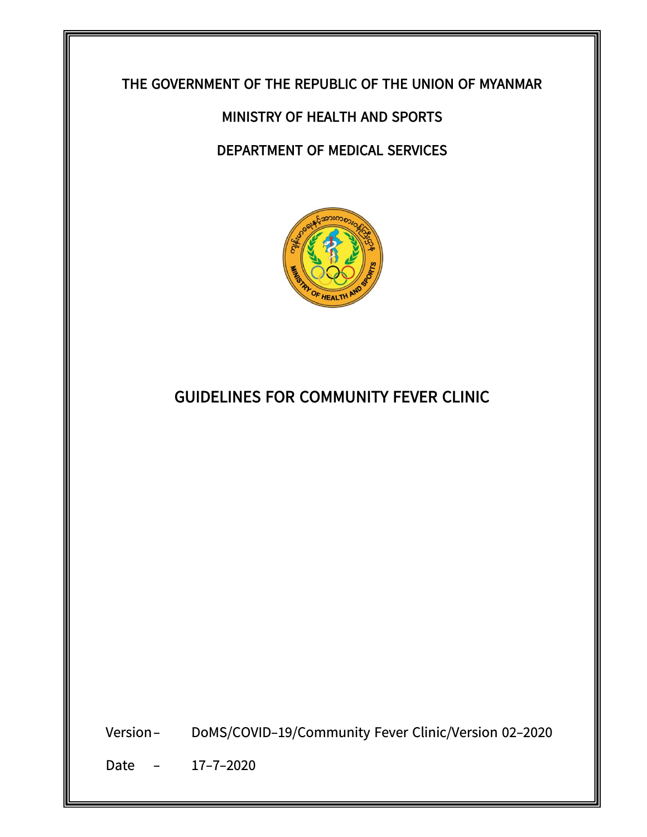## **THE GOVERNMENT OF THE REPUBLIC OF THE UNION OF MYANMAR THE GOVERNMENT OF THE REPUBLIC OF THE UNION OF MYANMAR**

## **MINISTRY OF HEALTH AND SPORTS MINISTRY OF HEALTH AND SPORTS**

## **DEPARTMENT OF MEDICAL SERVICES DEPARTMENT OF MEDICAL SERVICES**



## **GUIDELINES FOR COMMUNITY FEVER CLINIC GUIDELINES FOR COMMUNITY FEVER CLINIC**

Version- DoMS/COVID-19/Community Fever Clinic/Version 01-2020 Version- DoMS/COVID-19/Community Fever Clinic/Version 02-2020

 $\begin{array}{ccc} \begin{array}{ccc} \end{array} & \begin{array}{ccc} \end{array} & \end{array}$ Date - 17-7-2020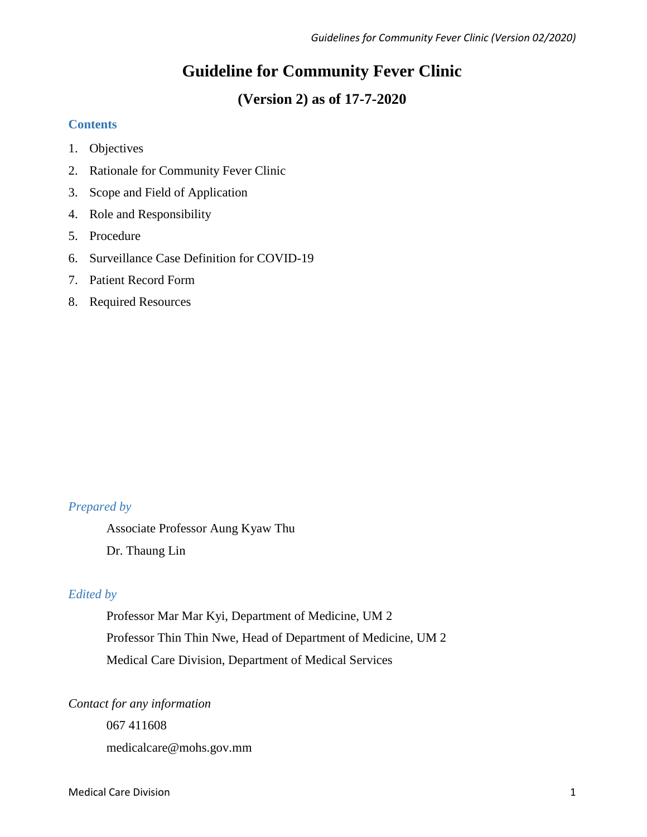# **Guideline for Community Fever Clinic**

# **(Version 2) as of 17-7-2020**

## **Contents**

- 1. Objectives
- 2. Rationale for Community Fever Clinic
- 3. Scope and Field of Application
- 4. Role and Responsibility
- 5. Procedure
- 6. Surveillance Case Definition for COVID-19
- 7. Patient Record Form
- 8. Required Resources

## *Prepared by*

Associate Professor Aung Kyaw Thu Dr. Thaung Lin

## *Edited by*

Professor Mar Mar Kyi, Department of Medicine, UM 2 Professor Thin Thin Nwe, Head of Department of Medicine, UM 2 Medical Care Division, Department of Medical Services

## *Contact for any information*

067 411608 medicalcare@mohs.gov.mm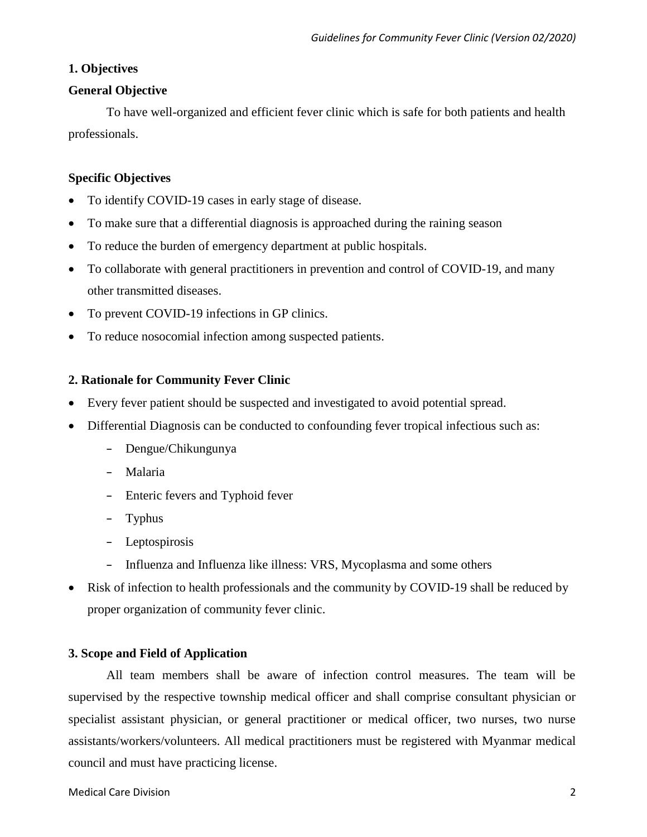## **1. Objectives**

## **General Objective**

To have well-organized and efficient fever clinic which is safe for both patients and health professionals.

## **Specific Objectives**

- To identify COVID-19 cases in early stage of disease.
- To make sure that a differential diagnosis is approached during the raining season
- To reduce the burden of emergency department at public hospitals.
- To collaborate with general practitioners in prevention and control of COVID-19, and many other transmitted diseases.
- To prevent COVID-19 infections in GP clinics.
- To reduce nosocomial infection among suspected patients.

## **2. Rationale for Community Fever Clinic**

- Every fever patient should be suspected and investigated to avoid potential spread.
- Differential Diagnosis can be conducted to confounding fever tropical infectious such as:
	- Dengue/Chikungunya
	- Malaria
	- Enteric fevers and Typhoid fever
	- Typhus
	- Leptospirosis
	- Influenza and Influenza like illness: VRS, Mycoplasma and some others
- Risk of infection to health professionals and the community by COVID-19 shall be reduced by proper organization of community fever clinic.

## **3. Scope and Field of Application**

All team members shall be aware of infection control measures. The team will be supervised by the respective township medical officer and shall comprise consultant physician or specialist assistant physician, or general practitioner or medical officer, two nurses, two nurse assistants/workers/volunteers. All medical practitioners must be registered with Myanmar medical council and must have practicing license.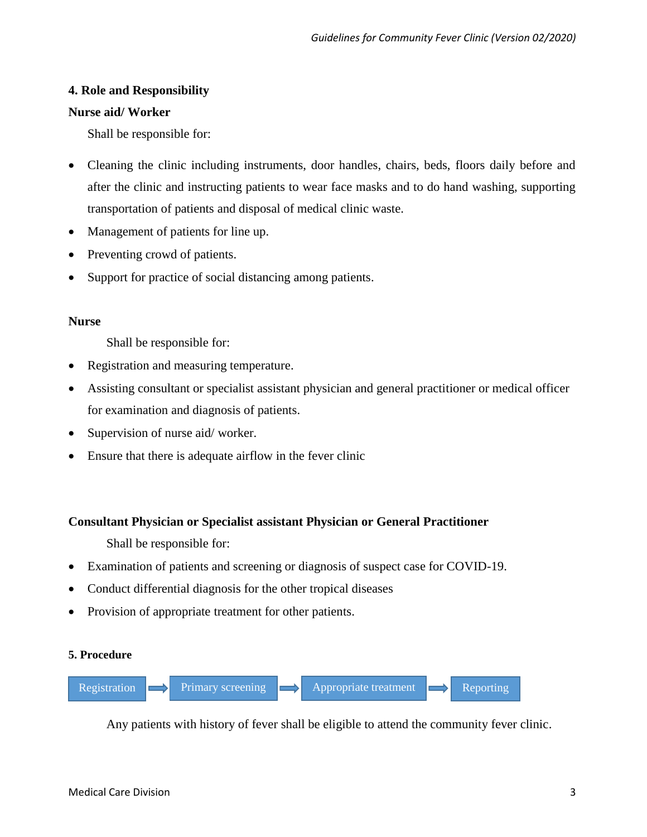## **4. Role and Responsibility**

## **Nurse aid/ Worker**

Shall be responsible for:

- Cleaning the clinic including instruments, door handles, chairs, beds, floors daily before and after the clinic and instructing patients to wear face masks and to do hand washing, supporting transportation of patients and disposal of medical clinic waste.
- Management of patients for line up.
- Preventing crowd of patients.
- Support for practice of social distancing among patients.

#### **Nurse**

Shall be responsible for:

- Registration and measuring temperature.
- Assisting consultant or specialist assistant physician and general practitioner or medical officer for examination and diagnosis of patients.
- Supervision of nurse aid/ worker.
- Ensure that there is adequate airflow in the fever clinic

## **Consultant Physician or Specialist assistant Physician or General Practitioner**

Shall be responsible for:

- Examination of patients and screening or diagnosis of suspect case for COVID-19.
- Conduct differential diagnosis for the other tropical diseases
- Provision of appropriate treatment for other patients.

#### **5. Procedure**



Any patients with history of fever shall be eligible to attend the community fever clinic.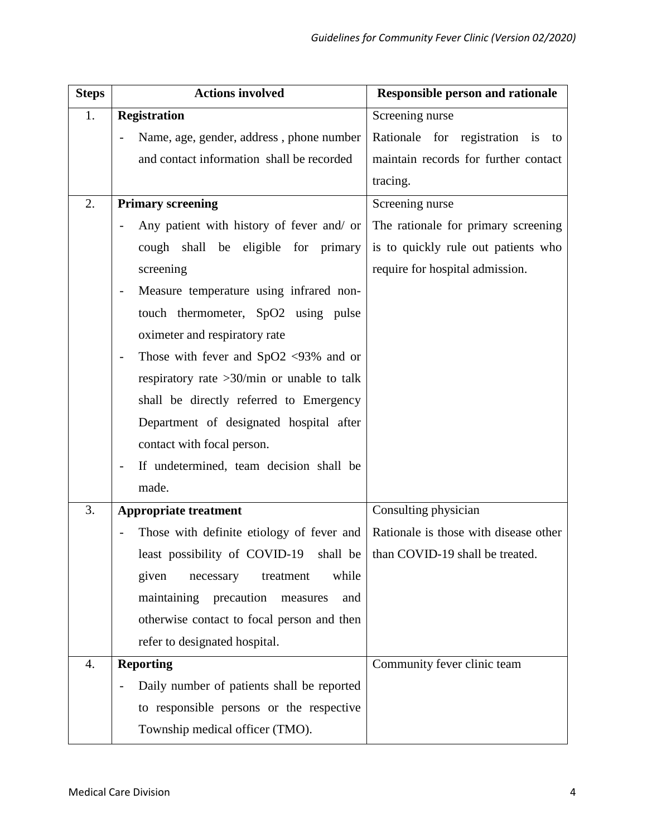| <b>Steps</b> | <b>Actions involved</b>                                                  | <b>Responsible person and rationale</b> |  |  |  |
|--------------|--------------------------------------------------------------------------|-----------------------------------------|--|--|--|
| 1.           | <b>Registration</b>                                                      | Screening nurse                         |  |  |  |
|              | Name, age, gender, address, phone number                                 | Rationale for registration is to        |  |  |  |
|              | and contact information shall be recorded                                | maintain records for further contact    |  |  |  |
|              |                                                                          | tracing.                                |  |  |  |
| 2.           | <b>Primary screening</b>                                                 | Screening nurse                         |  |  |  |
|              | Any patient with history of fever and/ or                                | The rationale for primary screening     |  |  |  |
|              | cough shall be eligible for primary                                      | is to quickly rule out patients who     |  |  |  |
|              | screening                                                                | require for hospital admission.         |  |  |  |
|              | Measure temperature using infrared non-                                  |                                         |  |  |  |
|              | touch thermometer, SpO2 using pulse                                      |                                         |  |  |  |
|              | oximeter and respiratory rate                                            |                                         |  |  |  |
|              | Those with fever and $SpO2$ <93% and or                                  |                                         |  |  |  |
|              | respiratory rate $>30$ /min or unable to talk                            |                                         |  |  |  |
|              | shall be directly referred to Emergency                                  |                                         |  |  |  |
|              | Department of designated hospital after                                  |                                         |  |  |  |
|              | contact with focal person.                                               |                                         |  |  |  |
|              | If undetermined, team decision shall be                                  |                                         |  |  |  |
|              | made.                                                                    |                                         |  |  |  |
| 3.           | <b>Appropriate treatment</b>                                             | Consulting physician                    |  |  |  |
|              | Those with definite etiology of fever and                                | Rationale is those with disease other   |  |  |  |
|              | least possibility of COVID-19 shall be   than COVID-19 shall be treated. |                                         |  |  |  |
|              | while<br>given<br>necessary<br>treatment                                 |                                         |  |  |  |
|              | maintaining precaution<br>and<br>measures                                |                                         |  |  |  |
|              | otherwise contact to focal person and then                               |                                         |  |  |  |
|              | refer to designated hospital.                                            |                                         |  |  |  |
| 4.           | <b>Reporting</b>                                                         | Community fever clinic team             |  |  |  |
|              | Daily number of patients shall be reported                               |                                         |  |  |  |
|              | to responsible persons or the respective                                 |                                         |  |  |  |
|              | Township medical officer (TMO).                                          |                                         |  |  |  |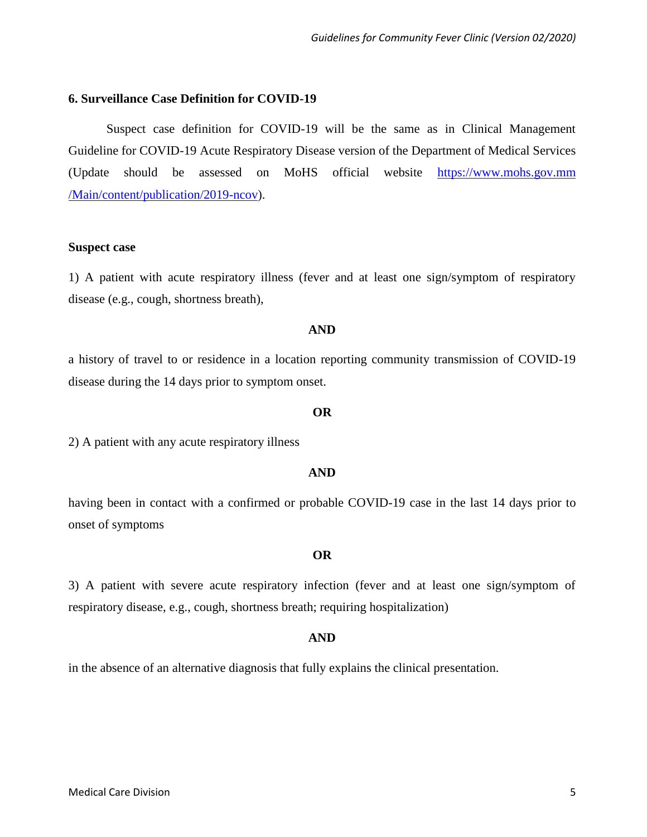#### **6. Surveillance Case Definition for COVID-19**

Suspect case definition for COVID-19 will be the same as in Clinical Management Guideline for COVID-19 Acute Respiratory Disease version of the Department of Medical Services (Update should be assessed on MoHS official website https://www.mohs.gov.mm /Main/content/publication/2019-ncov).

#### **Suspect case**

1) A patient with acute respiratory illness (fever and at least one sign/symptom of respiratory disease (e.g., cough, shortness breath),

#### **AND**

a history of travel to or residence in a location reporting community transmission of COVID-19 disease during the 14 days prior to symptom onset.

#### **OR**

2) A patient with any acute respiratory illness

#### **AND**

having been in contact with a confirmed or probable COVID-19 case in the last 14 days prior to onset of symptoms

#### **OR**

3) A patient with severe acute respiratory infection (fever and at least one sign/symptom of respiratory disease, e.g., cough, shortness breath; requiring hospitalization)

#### **AND**

in the absence of an alternative diagnosis that fully explains the clinical presentation.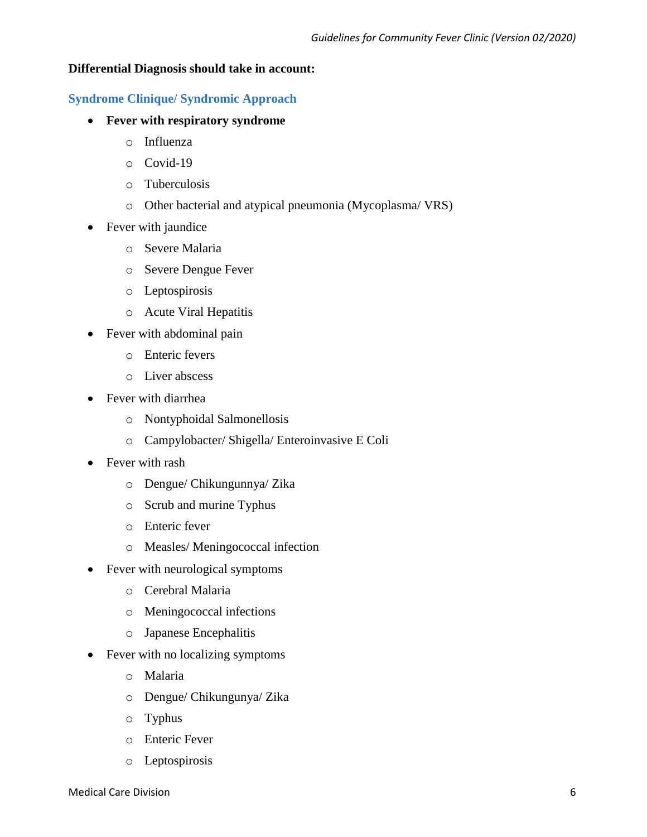## **Differential Diagnosis should take in account:**

## **Syndrome Clinique/ Syndromic Approach**

- **Fever with respiratory syndrome**
	- o Influenza
	- o Covid-19
	- o Tuberculosis
	- o Other bacterial and atypical pneumonia (Mycoplasma/ VRS)
- Fever with jaundice
	- o Severe Malaria
	- o Severe Dengue Fever
	- o Leptospirosis
	- o Acute Viral Hepatitis
- Fever with abdominal pain
	- o Enteric fevers
	- o Liver abscess
- Fever with diarrhea
	- o Nontyphoidal Salmonellosis
	- o Campylobacter/ Shigella/ Enteroinvasive E Coli
- Fever with rash
	- o Dengue/ Chikungunnya/ Zika
	- o Scrub and murine Typhus
	- o Enteric fever
	- o Measles/ Meningococcal infection
- Fever with neurological symptoms
	- o Cerebral Malaria
	- o Meningococcal infections
	- o Japanese Encephalitis
- Fever with no localizing symptoms
	- o Malaria
	- o Dengue/ Chikungunya/ Zika
	- o Typhus
	- o Enteric Fever
	- o Leptospirosis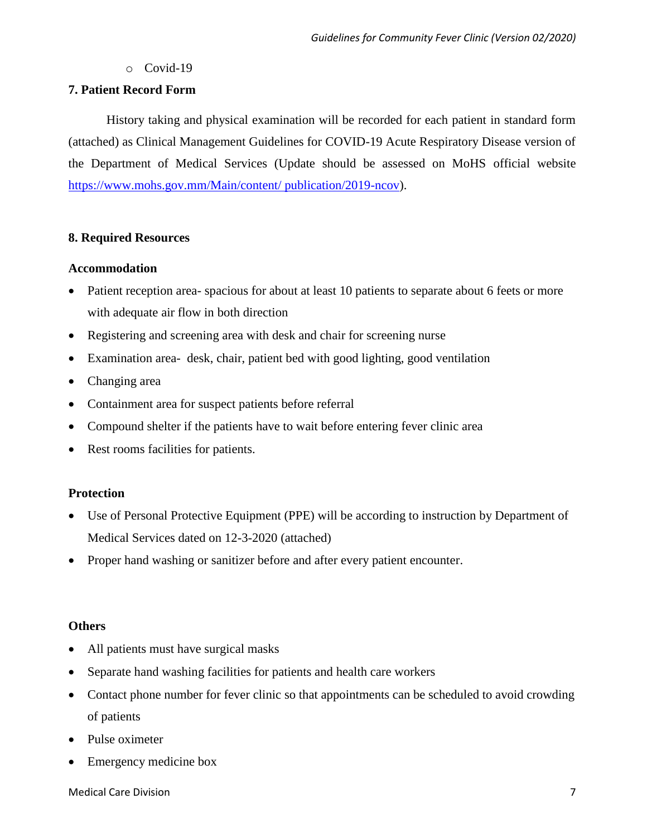o Covid-19

## **7. Patient Record Form**

History taking and physical examination will be recorded for each patient in standard form (attached) as Clinical Management Guidelines for COVID-19 Acute Respiratory Disease version of the Department of Medical Services (Update should be assessed on MoHS official website [https://www.mohs.gov.mm/Main/content/ publication/2019-ncov\)](https://www.mohs.gov.mm/Main/content/%20publication/2019-ncov).

## **8. Required Resources**

## **Accommodation**

- Patient reception area- spacious for about at least 10 patients to separate about 6 feets or more with adequate air flow in both direction
- Registering and screening area with desk and chair for screening nurse
- Examination area- desk, chair, patient bed with good lighting, good ventilation
- Changing area
- Containment area for suspect patients before referral
- Compound shelter if the patients have to wait before entering fever clinic area
- Rest rooms facilities for patients.

## **Protection**

- Use of Personal Protective Equipment (PPE) will be according to instruction by Department of Medical Services dated on 12-3-2020 (attached)
- Proper hand washing or sanitizer before and after every patient encounter.

## **Others**

- All patients must have surgical masks
- Separate hand washing facilities for patients and health care workers
- Contact phone number for fever clinic so that appointments can be scheduled to avoid crowding of patients
- Pulse oximeter
- Emergency medicine box

Medical Care Division 7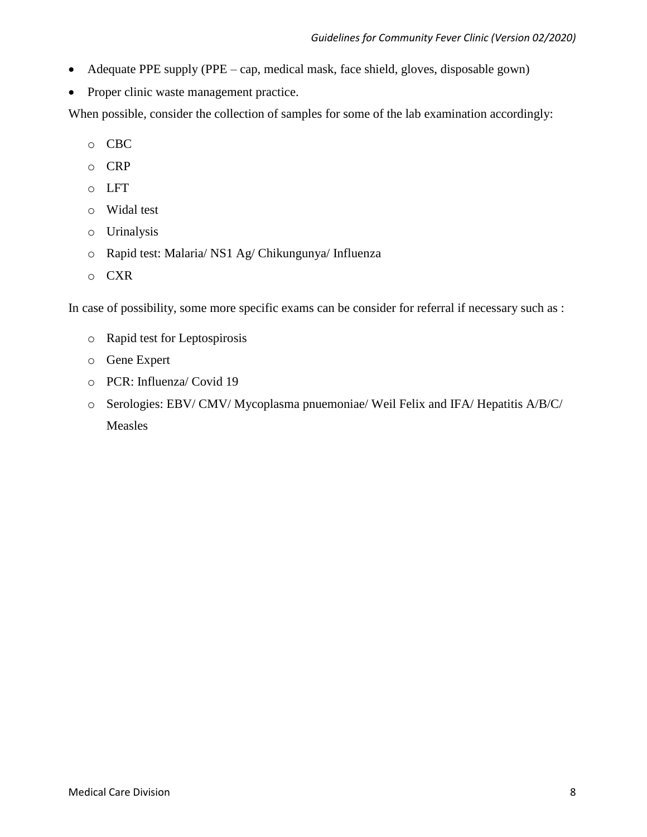- Adequate PPE supply (PPE cap, medical mask, face shield, gloves, disposable gown)
- Proper clinic waste management practice.

When possible, consider the collection of samples for some of the lab examination accordingly:

- o CBC
- o CRP
- o LFT
- o Widal test
- o Urinalysis
- o Rapid test: Malaria/ NS1 Ag/ Chikungunya/ Influenza
- o CXR

In case of possibility, some more specific exams can be consider for referral if necessary such as :

- o Rapid test for Leptospirosis
- o Gene Expert
- o PCR: Influenza/ Covid 19
- o Serologies: EBV/ CMV/ Mycoplasma pnuemoniae/ Weil Felix and IFA/ Hepatitis A/B/C/ Measles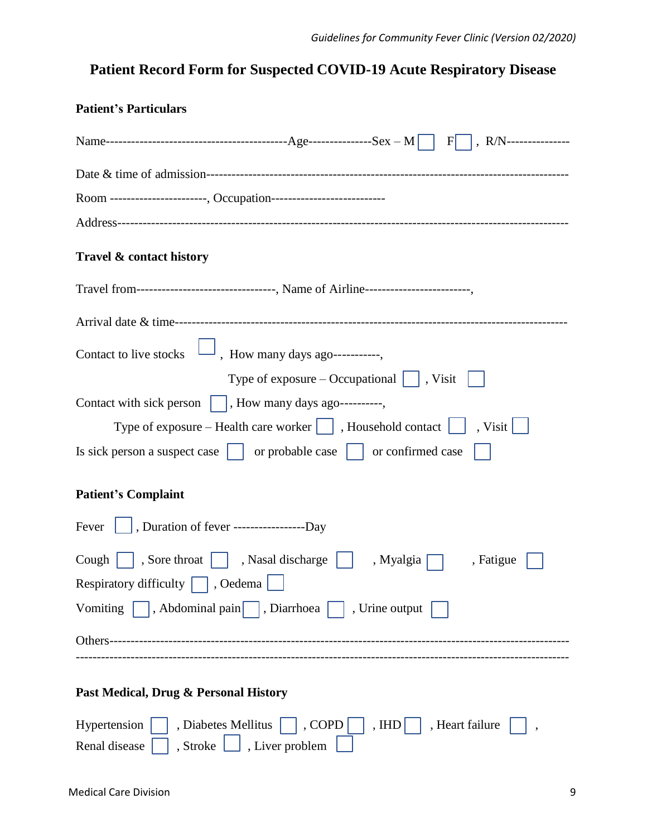# **Patient Record Form for Suspected COVID-19 Acute Respiratory Disease**

| <b>Patient's Particulars</b>                                                                                                                                                                       |
|----------------------------------------------------------------------------------------------------------------------------------------------------------------------------------------------------|
|                                                                                                                                                                                                    |
|                                                                                                                                                                                                    |
| Room ----------------------, Occupation---------------------------                                                                                                                                 |
|                                                                                                                                                                                                    |
| Travel & contact history                                                                                                                                                                           |
| Travel from--------------------------------, Name of Airline------------------------,                                                                                                              |
|                                                                                                                                                                                                    |
| Contact to live stocks $\Box$ , How many days ago-----------,                                                                                                                                      |
| Type of exposure – Occupational $\vert \cdot \vert$ , Visit                                                                                                                                        |
| Contact with sick person    , How many days ago----------,                                                                                                                                         |
| Type of exposure – Health care worker $\boxed{\phantom{\cdot}}$ , Household contact $\boxed{\phantom{\cdot}}$ , Visit $\boxed{\phantom{\cdot}}$                                                    |
| Is sick person a suspect case     or probable case     or confirmed case                                                                                                                           |
| <b>Patient's Complaint</b>                                                                                                                                                                         |
| Fever $\vert \vert$ , Duration of fever ---------------------Day                                                                                                                                   |
| Cough $\begin{array}{ c c c c c c } \hline \end{array}$ Sore throat $\begin{array}{ c c c c c c } \hline \end{array}$ , Myalgia $\begin{array}{ c c c c c c c c } \hline \end{array}$<br>, Fatigue |
| Respiratory difficulty $\Box$<br>, Oedema                                                                                                                                                          |
| Vomiting $\vert \vert$ , Abdominal pain $\vert \vert$ , Diarrhoea $\vert \vert$ , Urine output                                                                                                     |
|                                                                                                                                                                                                    |
| Past Medical, Drug & Personal History                                                                                                                                                              |
| Diabetes Mellitus     , COPD    <br>, Heart failure<br>Hypertension<br>, $IHD$                                                                                                                     |
| , Liver problem<br>, Stroke<br>Renal disease                                                                                                                                                       |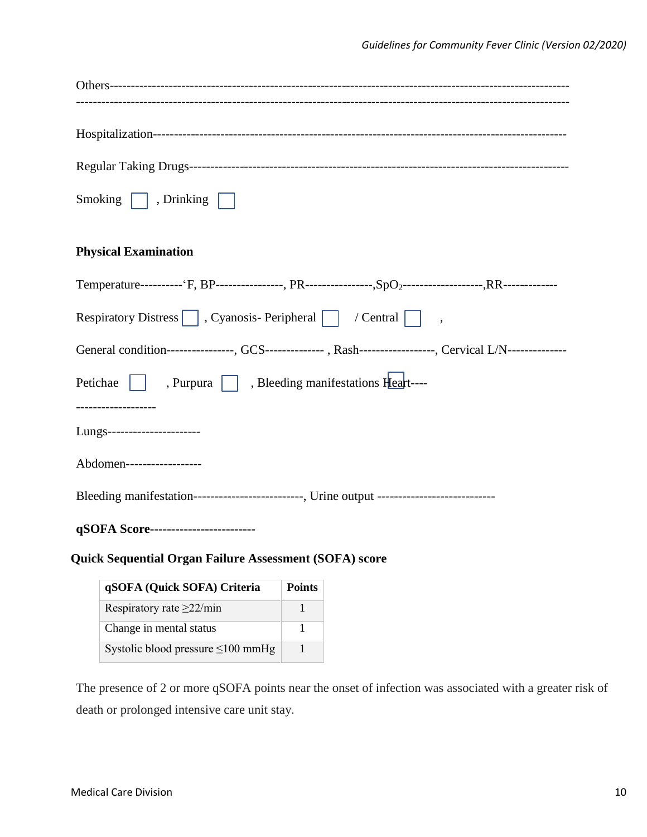| Smoking $\Box$ , Drinking $\Box$                                                                                      |
|-----------------------------------------------------------------------------------------------------------------------|
|                                                                                                                       |
| <b>Physical Examination</b>                                                                                           |
| Temperature----------- 'F, BP---------------, PR----------------,SpO <sub>2</sub> -------------------,RR------------- |
| Respiratory Distress   , Cyanosis- Peripheral   / Central   ,                                                         |
| General condition---------------, GCS-------------- , Rash----------------, Cervical L/N--------------                |
| Petichae     , Purpura   , Bleeding manifestations Heart----                                                          |
| -------------------                                                                                                   |
| Lungs-----------------------                                                                                          |
| Abdomen------------------                                                                                             |
| Bleeding manifestation--------------------------, Urine output ----------------------------                           |
| qSOFA Score-------------------------                                                                                  |

## **Quick Sequential Organ Failure Assessment (SOFA) score**

| qSOFA (Quick SOFA) Criteria             | <b>Points</b> |
|-----------------------------------------|---------------|
| Respiratory rate $\geq$ 22/min          |               |
| Change in mental status                 |               |
| Systolic blood pressure $\leq 100$ mmHg |               |

The presence of 2 or more qSOFA points near the onset of infection was associated with a greater risk of death or prolonged intensive care unit stay.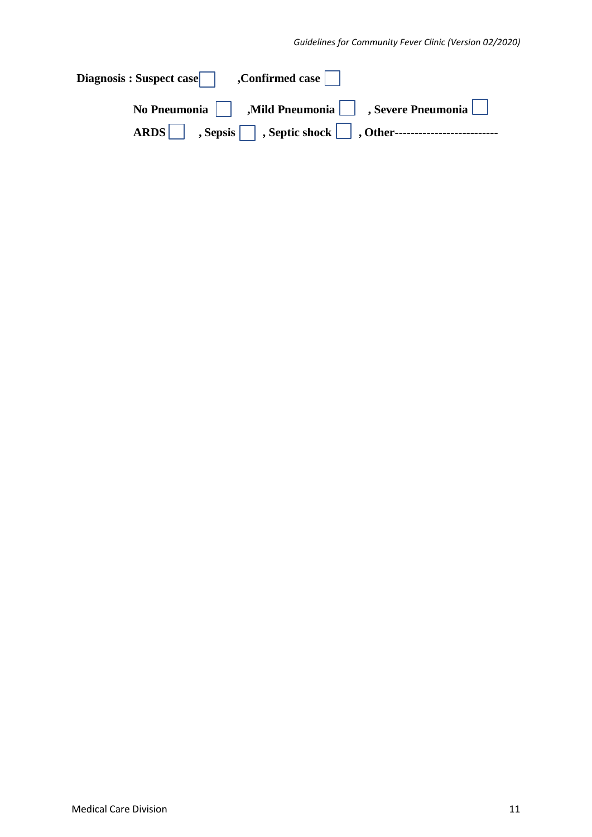| No Pneumonia $\Box$ , Mild Pneumonia $\Box$ , Severe Pneumonia $\Box$ |
|-----------------------------------------------------------------------|
|                                                                       |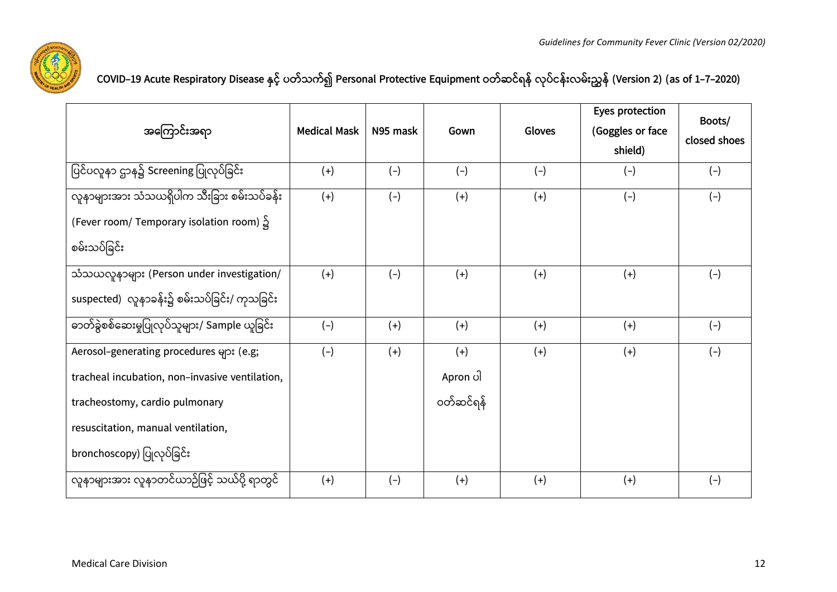

| COVID–19 Acute Respiratory Disease နှင့် ပတ်သက်၍ Personal Protective Equipment ဝတ်ဆင်ရန် လုပ်ငန်းလမ်းညွှန် (Version 2) (as of 1–7–2020) |  |  |
|-----------------------------------------------------------------------------------------------------------------------------------------|--|--|
|-----------------------------------------------------------------------------------------------------------------------------------------|--|--|

|                                                |                     |          |           |        | Eyes protection  | Boots/       |
|------------------------------------------------|---------------------|----------|-----------|--------|------------------|--------------|
| အကြောင်းအရာ                                    | <b>Medical Mask</b> | N95 mask | Gown      | Gloves | (Goggles or face |              |
|                                                |                     |          |           |        | shield)          | closed shoes |
| ပြင်ပလူနာ ဌာန၌ Screening ပြုလုပ်ခြင်း          | $(+)$               | $(-)$    | $(-)$     | $(-)$  | $(-)$            | $(-)$        |
| လူနာများအား သံသယရှိပါက သီးခြား စမ်းသပ်ခန်း     | $(+)$               | $(-)$    | $(+)$     | $(+)$  | $(-)$            | $(-)$        |
| (Fever room/ Temporary isolation room) ၌       |                     |          |           |        |                  |              |
| စမ်းသပ်ခြင်း                                   |                     |          |           |        |                  |              |
| သံသယလူနာများ (Person under investigation/      | $(+)$               | $(-)$    | $(+)$     | $(+)$  | $(+)$            | $(-)$        |
| suspected) လူနာခန်း၌ စမ်းသပ်ခြင်း/ ကုသခြင်း    |                     |          |           |        |                  |              |
| ဓာတ်ခွဲစစ်ဆေးမှုပြုလုပ်သူများ/ Sample ယူခြင်း  | $(-)$               | $(+)$    | $(+)$     | $(+)$  | $(+)$            | $(-)$        |
| Aerosol-generating procedures များ (e.g;       | $(-)$               | $(+)$    | $(+)$     | $(+)$  | $(+)$            | $(-)$        |
| tracheal incubation, non-invasive ventilation, |                     |          | Apron ပါ  |        |                  |              |
| tracheostomy, cardio pulmonary                 |                     |          | ဝတ်ဆင်ရန် |        |                  |              |
| resuscitation, manual ventilation,             |                     |          |           |        |                  |              |
| bronchoscopy) ပြုလုပ်ခြင်း                     |                     |          |           |        |                  |              |
| လူနာများအား လူနာတင်ယာဉ်ဖြင့် သယ်ပို့ ရာတွင်    | $(+)$               | $(-)$    | $(+)$     | $(+)$  | $(+)$            | $(-)$        |